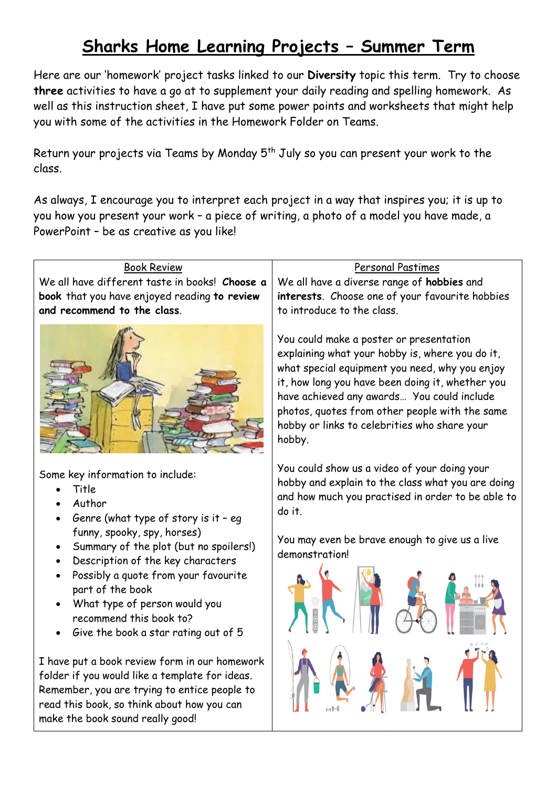# **Sharks Home Learning Projects – Summer Term**

Here are our 'homework' project tasks linked to our **Diversity** topic this term. Try to choose **three** activities to have a go at to supplement your daily reading and spelling homework. As well as this instruction sheet, I have put some power points and worksheets that might help you with some of the activities in the Homework Folder on Teams.

Return your projects via Teams by Monday  $5<sup>th</sup>$  July so you can present your work to the class.

As always, I encourage you to interpret each project in a way that inspires you; it is up to you how you present your work – a piece of writing, a photo of a model you have made, a PowerPoint – be as creative as you like!

#### Book Review We all have different taste in books! **Choose a book** that you have enjoyed reading **to review and recommend to the class**.



Some key information to include:

- Title
- Author
- Genre (what type of story is it eq funny, spooky, spy, horses)
- Summary of the plot (but no spoilers!)
- Description of the key characters
- Possibly a quote from your favourite part of the book
- What type of person would you recommend this book to?
- Give the book a star rating out of 5

I have put a book review form in our homework folder if you would like a template for ideas. Remember, you are trying to entice people to read this book, so think about how you can make the book sound really good!

### Personal Pastimes

We all have a diverse range of **hobbies** and **interests**. Choose one of your favourite hobbies to introduce to the class.

You could make a poster or presentation explaining what your hobby is, where you do it, what special equipment you need, why you enjoy it, how long you have been doing it, whether you have achieved any awards… You could include photos, quotes from other people with the same hobby or links to celebrities who share your hobby.

You could show us a video of your doing your hobby and explain to the class what you are doing and how much you practised in order to be able to do it.

You may even be brave enough to give us a live demonstration!